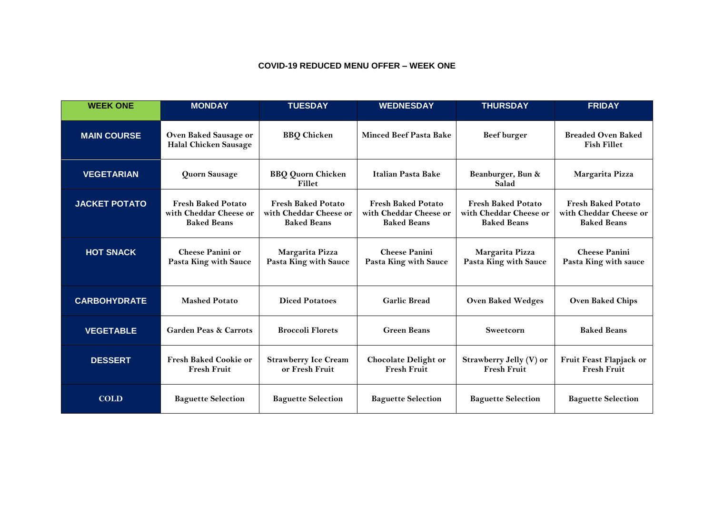## **COVID-19 REDUCED MENU OFFER – WEEK ONE**

| <b>WEEK ONE</b>      | <b>MONDAY</b>                                                             | <b>TUESDAY</b>                                                            | <b>WEDNESDAY</b>                                                          | <b>THURSDAY</b>                                                           | <b>FRIDAY</b>                                                             |
|----------------------|---------------------------------------------------------------------------|---------------------------------------------------------------------------|---------------------------------------------------------------------------|---------------------------------------------------------------------------|---------------------------------------------------------------------------|
| <b>MAIN COURSE</b>   | Oven Baked Sausage or<br><b>Halal Chicken Sausage</b>                     | <b>BBQ</b> Chicken                                                        | <b>Minced Beef Pasta Bake</b>                                             | <b>Beef burger</b>                                                        | <b>Breaded Oven Baked</b><br><b>Fish Fillet</b>                           |
| <b>VEGETARIAN</b>    | Quorn Sausage                                                             | <b>BBQ Quorn Chicken</b><br>Fillet                                        | Italian Pasta Bake                                                        | Beanburger, Bun &<br>Salad                                                | Margarita Pizza                                                           |
| <b>JACKET POTATO</b> | <b>Fresh Baked Potato</b><br>with Cheddar Cheese or<br><b>Baked Beans</b> | <b>Fresh Baked Potato</b><br>with Cheddar Cheese or<br><b>Baked Beans</b> | <b>Fresh Baked Potato</b><br>with Cheddar Cheese or<br><b>Baked Beans</b> | <b>Fresh Baked Potato</b><br>with Cheddar Cheese or<br><b>Baked Beans</b> | <b>Fresh Baked Potato</b><br>with Cheddar Cheese or<br><b>Baked Beans</b> |
| <b>HOT SNACK</b>     | <b>Cheese Panini or</b><br>Pasta King with Sauce                          | Margarita Pizza<br>Pasta King with Sauce                                  | <b>Cheese Panini</b><br>Pasta King with Sauce                             | Margarita Pizza<br>Pasta King with Sauce                                  | <b>Cheese Panini</b><br>Pasta King with sauce                             |
| <b>CARBOHYDRATE</b>  | <b>Mashed Potato</b>                                                      | <b>Diced Potatoes</b>                                                     | <b>Garlic Bread</b>                                                       | <b>Oven Baked Wedges</b>                                                  | <b>Oven Baked Chips</b>                                                   |
| <b>VEGETABLE</b>     | <b>Garden Peas &amp; Carrots</b>                                          | <b>Broccoli Florets</b>                                                   | <b>Green Beans</b>                                                        | Sweetcorn                                                                 | <b>Baked Beans</b>                                                        |
| <b>DESSERT</b>       | <b>Fresh Baked Cookie or</b><br><b>Fresh Fruit</b>                        | <b>Strawberry Ice Cream</b><br>or Fresh Fruit                             | <b>Chocolate Delight or</b><br><b>Fresh Fruit</b>                         | Strawberry Jelly (V) or<br><b>Fresh Fruit</b>                             | Fruit Feast Flapjack or<br><b>Fresh Fruit</b>                             |
| <b>COLD</b>          | <b>Baguette Selection</b>                                                 | <b>Baguette Selection</b>                                                 | <b>Baguette Selection</b>                                                 | <b>Baguette Selection</b>                                                 | <b>Baguette Selection</b>                                                 |